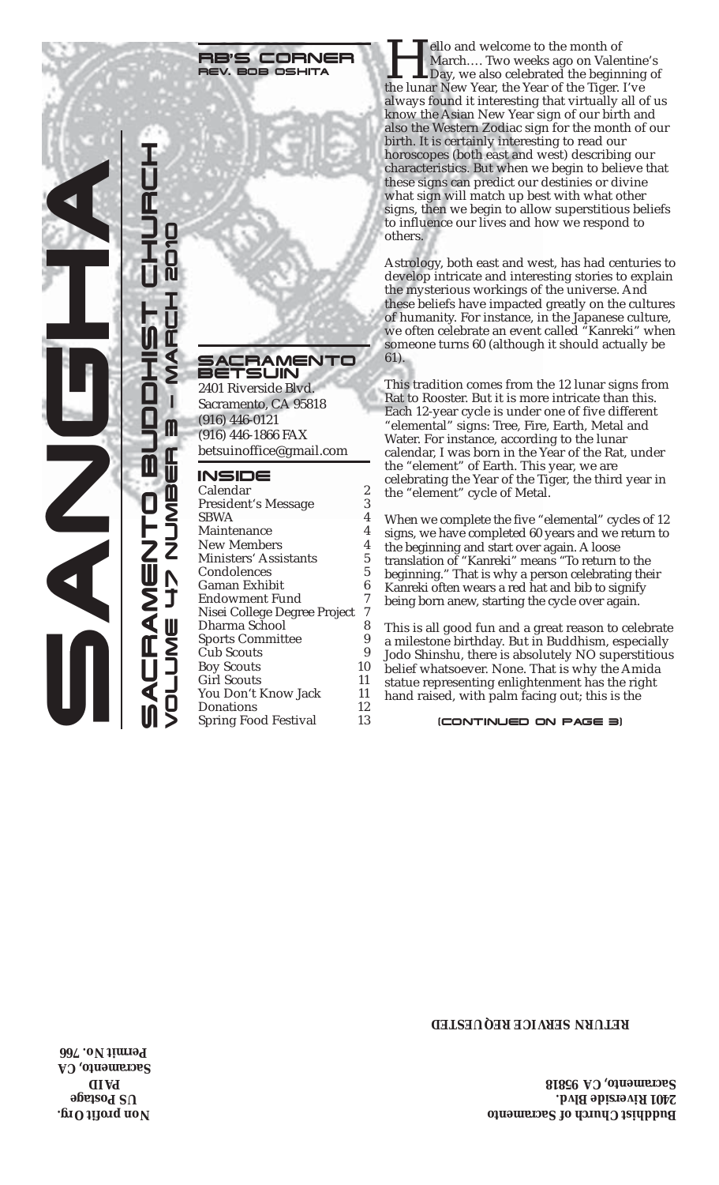#### RB'S CORNER REV. BOB OSHITA

#### SACRAMENTO BETSUIN

2401 Riverside Blvd. Sacramento, CA 95818 (916) 446-0121 (916) 446-1866 FAX betsuinoffice@gmail.com

#### INSIDE

| Calendar                     | 2  |
|------------------------------|----|
| President's Message          | 3  |
| <b>SBWA</b>                  | 4  |
| Maintenance                  | 4  |
| <b>New Members</b>           | 4  |
| Ministers' Assistants        | 5  |
| Condolences                  | 5  |
| Gaman Exhibit                | 6  |
| Endowment Fund               | 7  |
| Nisei College Degree Project | 7  |
| Dharma School                | 8  |
| <b>Sports Committee</b>      | 9  |
| <b>Cub Scouts</b>            | 9  |
| <b>Boy Scouts</b>            | 10 |
| <b>Girl Scouts</b>           | 11 |
| You Don't Know Jack          | 11 |
| Donations                    | 12 |
| <b>Spring Food Festival</b>  | 13 |
|                              |    |

**Hello and welcome to the month of March.... Two weeks ago on Valenting**<br>Day, we also celebrated the beginning<br>the lunar New Year, the Year of the Tiger. I've March…. Two weeks ago on Valentine's Day, we also celebrated the beginning of always found it interesting that virtually all of us know the Asian New Year sign of our birth and also the Western Zodiac sign for the month of our birth. It is certainly interesting to read our horoscopes (both east and west) describing our characteristics. But when we begin to believe that these signs can predict our destinies or divine what sign will match up best with what other signs, then we begin to allow superstitious beliefs to influence our lives and how we respond to others.

Astrology, both east and west, has had centuries to develop intricate and interesting stories to explain the mysterious workings of the universe. And these beliefs have impacted greatly on the cultures of humanity. For instance, in the Japanese culture, we often celebrate an event called "Kanreki" when someone turns 60 (although it should actually be 61).

This tradition comes from the 12 lunar signs from Rat to Rooster. But it is more intricate than this. Each 12-year cycle is under one of five different "elemental" signs: Tree, Fire, Earth, Metal and Water. For instance, according to the lunar calendar, I was born in the Year of the Rat, under the "element" of Earth. This year, we are celebrating the Year of the Tiger, the third year in the "element" cycle of Metal.

When we complete the five "elemental" cycles of 12 signs, we have completed 60 years and we return to the beginning and start over again. A loose translation of "Kanreki" means "To return to the beginning." That is why a person celebrating their Kanreki often wears a red hat and bib to signify being born anew, starting the cycle over again.

This is all good fun and a great reason to celebrate a milestone birthday. But in Buddhism, especially Jodo Shinshu, there is absolutely NO superstitious belief whatsoever. None. That is why the Amida statue representing enlightenment has the right hand raised, with palm facing out; this is the

#### (CONTINUED ON PAGE 3)

#### **RETURN SERVICE REQUESTED**

**Buddhist Church of Sacramento 2401 Riverside Blvd. Sacramento, CA 95818**

**Non profit Org. US Postage AID P Sacramento, CA Permit No. 766**

SANGHA

SACRAMENTO BUDDO BUDDO BUDDOOR AASTO

 $\bar{\mathbb{I}}$ 

VOLUME 47 NUMBER 3 — MARCH 2010

Ш  $\blacksquare$ 

Ž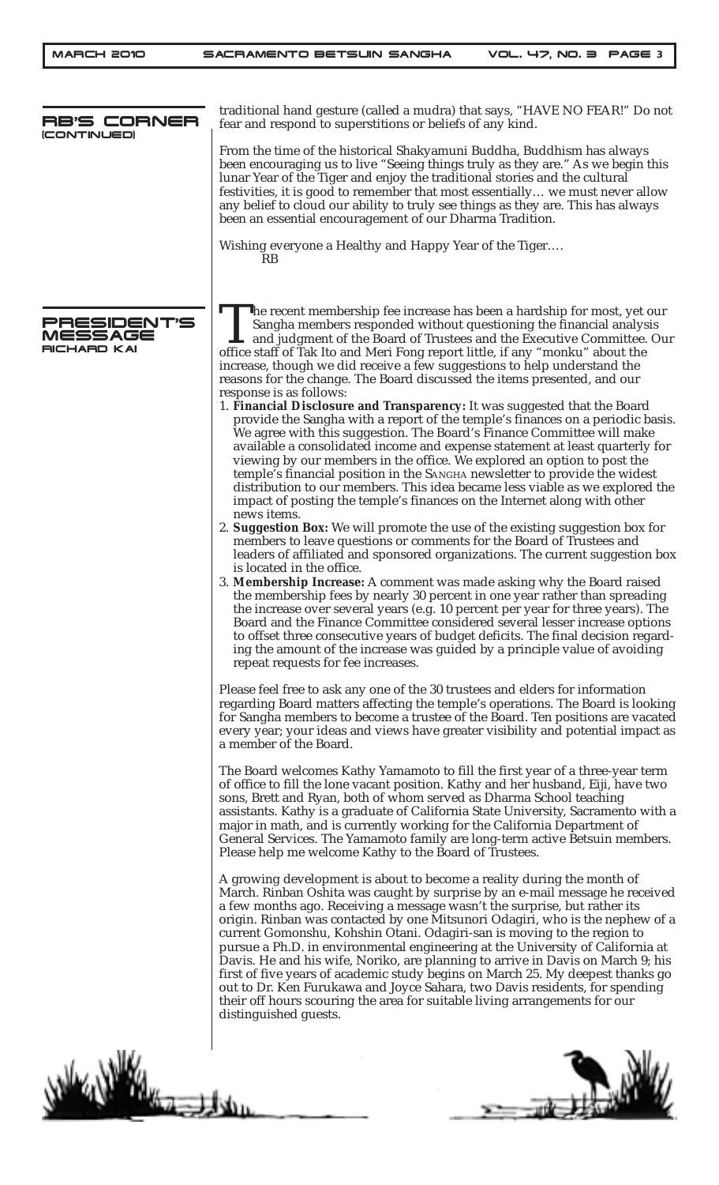| RB'S CORNER                           | traditional hand gesture (called a mudra) that says, "HAVE NO FEAR!" Do not<br>fear and respond to superstitions or beliefs of any kind.                                                                                                                                                                                                                                                                                                                                                                                                                                                                                                                                                                                                                                                                                                     |
|---------------------------------------|----------------------------------------------------------------------------------------------------------------------------------------------------------------------------------------------------------------------------------------------------------------------------------------------------------------------------------------------------------------------------------------------------------------------------------------------------------------------------------------------------------------------------------------------------------------------------------------------------------------------------------------------------------------------------------------------------------------------------------------------------------------------------------------------------------------------------------------------|
| (CONTINUED)                           | From the time of the historical Shakyamuni Buddha, Buddhism has always<br>been encouraging us to live "Seeing things truly as they are." As we begin this<br>lunar Year of the Tiger and enjoy the traditional stories and the cultural<br>festivities, it is good to remember that most essentially we must never allow<br>any belief to cloud our ability to truly see things as they are. This has always<br>been an essential encouragement of our Dharma Tradition.                                                                                                                                                                                                                                                                                                                                                                     |
|                                       | Wishing everyone a Healthy and Happy Year of the Tiger<br>RB                                                                                                                                                                                                                                                                                                                                                                                                                                                                                                                                                                                                                                                                                                                                                                                 |
| PRESIDENT'S<br>MESSAGE<br>RICHARD KAI | The recent membership fee increase has been a hardship for most, yet our<br>Sangha members responded without questioning the financial analysis<br>$\blacktriangle$ and judgment of the Board of Trustees and the Executive Committee. Our<br>office staff of Tak Ito and Meri Fong report little, if any "monku" about the<br>increase, though we did receive a few suggestions to help understand the<br>reasons for the change. The Board discussed the items presented, and our<br>response is as follows:<br>1. Financial Disclosure and Transparency: It was suggested that the Board                                                                                                                                                                                                                                                  |
|                                       | provide the Sangha with a report of the temple's finances on a periodic basis.<br>We agree with this suggestion. The Board's Finance Committee will make<br>available a consolidated income and expense statement at least quarterly for<br>viewing by our members in the office. We explored an option to post the<br>temple's financial position in the SANGHA newsletter to provide the widest<br>distribution to our members. This idea became less viable as we explored the<br>impact of posting the temple's finances on the Internet along with other<br>news items.                                                                                                                                                                                                                                                                 |
|                                       | 2. Suggestion Box: We will promote the use of the existing suggestion box for<br>members to leave questions or comments for the Board of Trustees and<br>leaders of affiliated and sponsored organizations. The current suggestion box                                                                                                                                                                                                                                                                                                                                                                                                                                                                                                                                                                                                       |
|                                       | is located in the office.<br>3. Membership Increase: A comment was made asking why the Board raised<br>the membership fees by nearly 30 percent in one year rather than spreading<br>the increase over several years (e.g. 10 percent per year for three years). The<br>Board and the Finance Committee considered several lesser increase options<br>to offset three consecutive years of budget deficits. The final decision regard-<br>ing the amount of the increase was guided by a principle value of avoiding<br>repeat requests for fee increases.                                                                                                                                                                                                                                                                                   |
|                                       | Please feel free to ask any one of the 30 trustees and elders for information<br>regarding Board matters affecting the temple's operations. The Board is looking<br>for Sangha members to become a trustee of the Board. Ten positions are vacated<br>every year; your ideas and views have greater visibility and potential impact as<br>a member of the Board.                                                                                                                                                                                                                                                                                                                                                                                                                                                                             |
|                                       | The Board welcomes Kathy Yamamoto to fill the first year of a three-year term<br>of office to fill the lone vacant position. Kathy and her husband, Eiji, have two<br>sons, Brett and Ryan, both of whom served as Dharma School teaching<br>assistants. Kathy is a graduate of California State University, Sacramento with a<br>major in math, and is currently working for the California Department of<br>General Services. The Yamamoto family are long-term active Betsuin members.<br>Please help me welcome Kathy to the Board of Trustees.                                                                                                                                                                                                                                                                                          |
|                                       | A growing development is about to become a reality during the month of<br>March. Rinban Oshita was caught by surprise by an e-mail message he received<br>a few months ago. Receiving a message wasn't the surprise, but rather its<br>origin. Rinban was contacted by one Mitsunori Odagiri, who is the nephew of a<br>current Gomonshu, Kohshin Otani. Odagiri-san is moving to the region to<br>pursue a Ph.D. in environmental engineering at the University of California at<br>Davis. He and his wife, Noriko, are planning to arrive in Davis on March 9; his<br>first of five years of academic study begins on March 25. My deepest thanks go<br>out to Dr. Ken Furukawa and Joyce Sahara, two Davis residents, for spending<br>their off hours scouring the area for suitable living arrangements for our<br>distinguished guests. |
|                                       |                                                                                                                                                                                                                                                                                                                                                                                                                                                                                                                                                                                                                                                                                                                                                                                                                                              |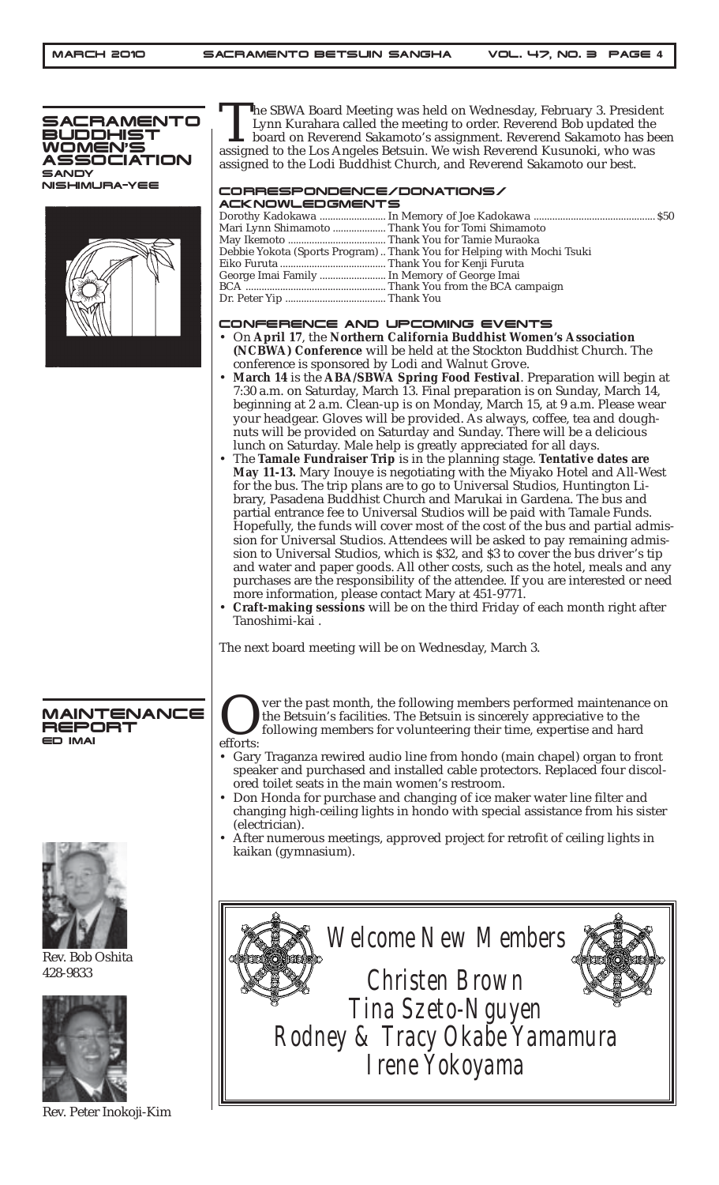

The SBWA Board Meeting was held on Wednesday, February 3. President Lynn Kurahara called the meeting to order. Reverend Bob updated the board on Reverend Sakamoto's assignment. Reverend Sakamoto has been assigned to the Lo Lynn Kurahara called the meeting to order. Reverend Bob updated the board on Reverend Sakamoto's assignment. Reverend Sakamoto has been assigned to the Lodi Buddhist Church, and Reverend Sakamoto our best.

## CORRESPONDENCE/DONATIONS/

| <b>ACKNOWLEDGMENTS</b>                       |                                                                        |
|----------------------------------------------|------------------------------------------------------------------------|
|                                              |                                                                        |
|                                              |                                                                        |
|                                              |                                                                        |
|                                              | Debbie Yokota (Sports Program)  Thank You for Helping with Mochi Tsuki |
|                                              |                                                                        |
| George Imai Family  In Memory of George Imai |                                                                        |
|                                              |                                                                        |
|                                              |                                                                        |
|                                              |                                                                        |

#### CONFERENCE AND UPCOMING EVENTS

- On **April 17**, the **Northern California Buddhist Women's Association (NCBWA) Conference** will be held at the Stockton Buddhist Church. The conference is sponsored by Lodi and Walnut Grove.
- **March 14** is the **ABA/SBWA Spring Food Festival**. Preparation will begin at 7:30 a.m. on Saturday, March 13. Final preparation is on Sunday, March 14, beginning at 2 a.m. Clean-up is on Monday, March 15, at 9 a.m. Please wear your headgear. Gloves will be provided. As always, coffee, tea and doughnuts will be provided on Saturday and Sunday. There will be a delicious lunch on Saturday. Male help is greatly appreciated for all days.
- The **Tamale Fundraiser Trip** is in the planning stage. **Tentative dates are May 11-13.** Mary Inouye is negotiating with the Miyako Hotel and All-West for the bus. The trip plans are to go to Universal Studios, Huntington Library, Pasadena Buddhist Church and Marukai in Gardena. The bus and partial entrance fee to Universal Studios will be paid with Tamale Funds. Hopefully, the funds will cover most of the cost of the bus and partial admission for Universal Studios. Attendees will be asked to pay remaining admission to Universal Studios, which is \$32, and \$3 to cover the bus driver's tip and water and paper goods. All other costs, such as the hotel, meals and any purchases are the responsibility of the attendee. If you are interested or need more information, please contact Mary at 451-9771.
- **Craft-making sessions** will be on the third Friday of each month right after Tanoshimi-kai .

The next board meeting will be on Wednesday, March 3.

#### MAINTENANCE<br>REPORT REF ED IMAI

ver the past month, the following members performed maintenance on the Betsuin's facilities. The Betsuin is sincerely appreciative to the following members for volunteering their time, expertise and hard efforts:

- Gary Traganza rewired audio line from hondo (main chapel) organ to front speaker and purchased and installed cable protectors. Replaced four discolored toilet seats in the main women's restroom.
- Don Honda for purchase and changing of ice maker water line filter and changing high-ceiling lights in hondo with special assistance from his sister (electrician).
- After numerous meetings, approved project for retrofit of ceiling lights in kaikan (gymnasium).





Rev. Bob Oshita 428-9833



Rev. Peter Inokoji-Kim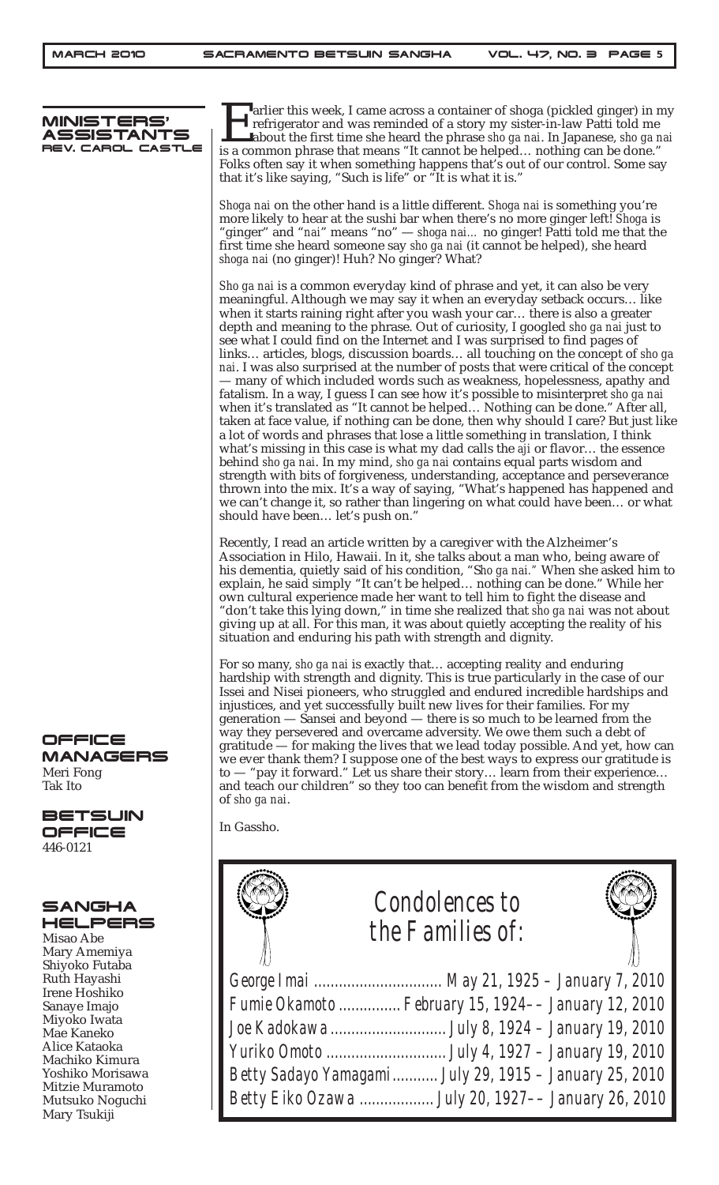

Farlier this week, I came across a container of shoga (pickled ginger) in my refrigerator and was reminded of a story my sister-in-law Patti told me about the first time she heard the phrase *sho ga nai*. In Japanese, *sho* refrigerator and was reminded of a story my sister-in-law Patti told me about the first time she heard the phrase *sho ga nai*. In Japanese, *sho ga nai* is a common phrase that means "It cannot be helped… nothing can be done." Folks often say it when something happens that's out of our control. Some say that it's like saying, "Such is life" or "It is what it is."

*Shoga nai* on the other hand is a little different. *Shoga nai* is something you're more likely to hear at the sushi bar when there's no more ginger left! *Shoga* is "ginger" and "*nai*" means "no" — *shoga nai…* no ginger! Patti told me that the first time she heard someone say *sho ga nai* (it cannot be helped), she heard *shoga nai* (no ginger)! Huh? No ginger? What?

*Sho ga nai* is a common everyday kind of phrase and yet, it can also be very meaningful. Although we may say it when an everyday setback occurs… like when it starts raining right after you wash your car… there is also a greater depth and meaning to the phrase. Out of curiosity, I googled *sho ga nai* just to see what I could find on the Internet and I was surprised to find pages of links… articles, blogs, discussion boards… all touching on the concept of *sho ga nai*. I was also surprised at the number of posts that were critical of the concept — many of which included words such as weakness, hopelessness, apathy and fatalism. In a way, I guess I can see how it's possible to misinterpret *sho ga nai* when it's translated as "It cannot be helped… Nothing can be done." After all, taken at face value, if nothing can be done, then why should I care? But just like a lot of words and phrases that lose a little something in translation, I think what's missing in this case is what my dad calls the *aji* or flavor… the essence behind *sho ga nai*. In my mind, *sho ga nai* contains equal parts wisdom and strength with bits of forgiveness, understanding, acceptance and perseverance thrown into the mix. It's a way of saying, "What's happened has happened and we can't change it, so rather than lingering on what could have been… or what should have been… let's push on."

Recently, I read an article written by a caregiver with the Alzheimer's Association in Hilo, Hawaii. In it, she talks about a man who, being aware of his dementia, quietly said of his condition, "S*ho ga nai."* When she asked him to explain, he said simply "It can't be helped… nothing can be done." While her own cultural experience made her want to tell him to fight the disease and "don't take this lying down," in time she realized that *sho ga nai* was not about giving up at all. For this man, it was about quietly accepting the reality of his situation and enduring his path with strength and dignity.

For so many, *sho ga nai* is exactly that… accepting reality and enduring hardship with strength and dignity. This is true particularly in the case of our Issei and Nisei pioneers, who struggled and endured incredible hardships and injustices, and yet successfully built new lives for their families. For my generation — Sansei and beyond — there is so much to be learned from the way they persevered and overcame adversity. We owe them such a debt of gratitude — for making the lives that we lead today possible. And yet, how can we ever thank them? I suppose one of the best ways to express our gratitude is to — "pay it forward." Let us share their story… learn from their experience… and teach our children" so they too can benefit from the wisdom and strength

| <i>Condolences to</i><br>the Families of:              |  |
|--------------------------------------------------------|--|
| George Imai  May 21, 1925 - January 7, 2010            |  |
| Fumie Okamoto  February 15, 1924-- January 12, 2010    |  |
|                                                        |  |
|                                                        |  |
| Betty Sadayo Yamagami July 29, 1915 - January 25, 2010 |  |
| Betty Eiko Ozawa  July 20, 1927-- January 26, 2010     |  |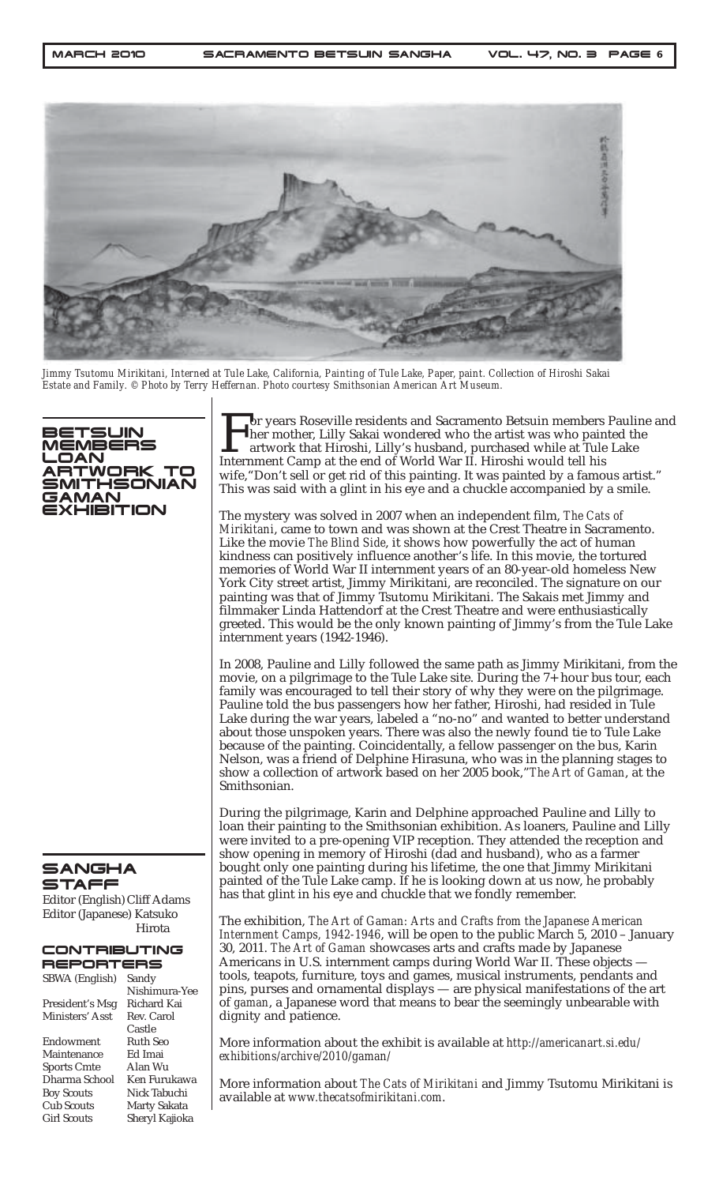

*Jimmy Tsutomu Mirikitani, Interned at Tule Lake, California, Painting of Tule Lake, Paper, paint. Collection of Hiroshi Sakai Estate and Family. © Photo by Terry Heffernan. Photo courtesy Smithsonian American Art Museum.*



SANGHA STAFF

Editor (English) Cliff Adams Editor (Japanese) Katsuko Hirota

#### **ONTRIBUTING**

| REPORTERS          |                    |
|--------------------|--------------------|
| SBWA (English)     | Sandy              |
|                    | Nishimura-Yee      |
| President's Msg    | <b>Richard Kai</b> |
| Ministers' Asst    | Rev. Carol         |
|                    | Castle             |
| Endowment          | Ruth Seo           |
| Maintenance        | Ed Imai            |
| <b>Sports Cmte</b> | Alan Wu            |
| Dharma School      | Ken Furukawa       |
| <b>Boy Scouts</b>  | Nick Tabuchi       |
| <b>Cub Scouts</b>  | Marty Sakata       |
| <b>Girl Scouts</b> | Sheryl Kajioka     |

For years Roseville residents and Sacramento Betsuin members Pauline and<br>her mother, Lilly Sakai wondered who the artist was who painted the<br>artwork that Hiroshi, Lilly's husband, purchased while at Tule Lake<br>Internment Ca her mother, Lilly Sakai wondered who the artist was who painted the artwork that Hiroshi, Lilly's husband, purchased while at Tule Lake Internment Camp at the end of World War II. Hiroshi would tell his wife, "Don't sell or get rid of this painting. It was painted by a famous artist." This was said with a glint in his eye and a chuckle accompanied by a smile.

The mystery was solved in 2007 when an independent film, *The Cats of Mirikitani*, came to town and was shown at the Crest Theatre in Sacramento. Like the movie *The Blind Side*, it shows how powerfully the act of human kindness can positively influence another's life. In this movie, the tortured memories of World War II internment years of an 80-year-old homeless New York City street artist, Jimmy Mirikitani, are reconciled. The signature on our painting was that of Jimmy Tsutomu Mirikitani. The Sakais met Jimmy and filmmaker Linda Hattendorf at the Crest Theatre and were enthusiastically greeted. This would be the only known painting of Jimmy's from the Tule Lake internment years (1942-1946).

In 2008, Pauline and Lilly followed the same path as Jimmy Mirikitani, from the movie, on a pilgrimage to the Tule Lake site. During the 7+ hour bus tour, each family was encouraged to tell their story of why they were on the pilgrimage. Pauline told the bus passengers how her father, Hiroshi, had resided in Tule Lake during the war years, labeled a "no-no" and wanted to better understand about those unspoken years. There was also the newly found tie to Tule Lake because of the painting. Coincidentally, a fellow passenger on the bus, Karin Nelson, was a friend of Delphine Hirasuna, who was in the planning stages to show a collection of artwork based on her 2005 book,"*The Art of Gaman*, at the Smithsonian.

During the pilgrimage, Karin and Delphine approached Pauline and Lilly to loan their painting to the Smithsonian exhibition. As loaners, Pauline and Lilly were invited to a pre-opening VIP reception. They attended the reception and show opening in memory of Hiroshi (dad and husband), who as a farmer bought only one painting during his lifetime, the one that Jimmy Mirikitani painted of the Tule Lake camp. If he is looking down at us now, he probably has that glint in his eye and chuckle that we fondly remember.

The exhibition, *The Art of Gaman: Arts and Crafts from the Japanese American Internment Camps, 1942-1946*, will be open to the public March 5, 2010 – January 30, 2011. *The Art of Gaman* showcases arts and crafts made by Japanese Americans in U.S. internment camps during World War II. These objects tools, teapots, furniture, toys and games, musical instruments, pendants and pins, purses and ornamental displays — are physical manifestations of the art of *gaman*, a Japanese word that means to bear the seemingly unbearable with dignity and patience.

More information about the exhibit is available at *http://americanart.si.edu/ exhibitions/archive/2010/gaman/*

More information about *The Cats of Mirikitani* and Jimmy Tsutomu Mirikitani is available at *www.thecatsofmirikitani.com*.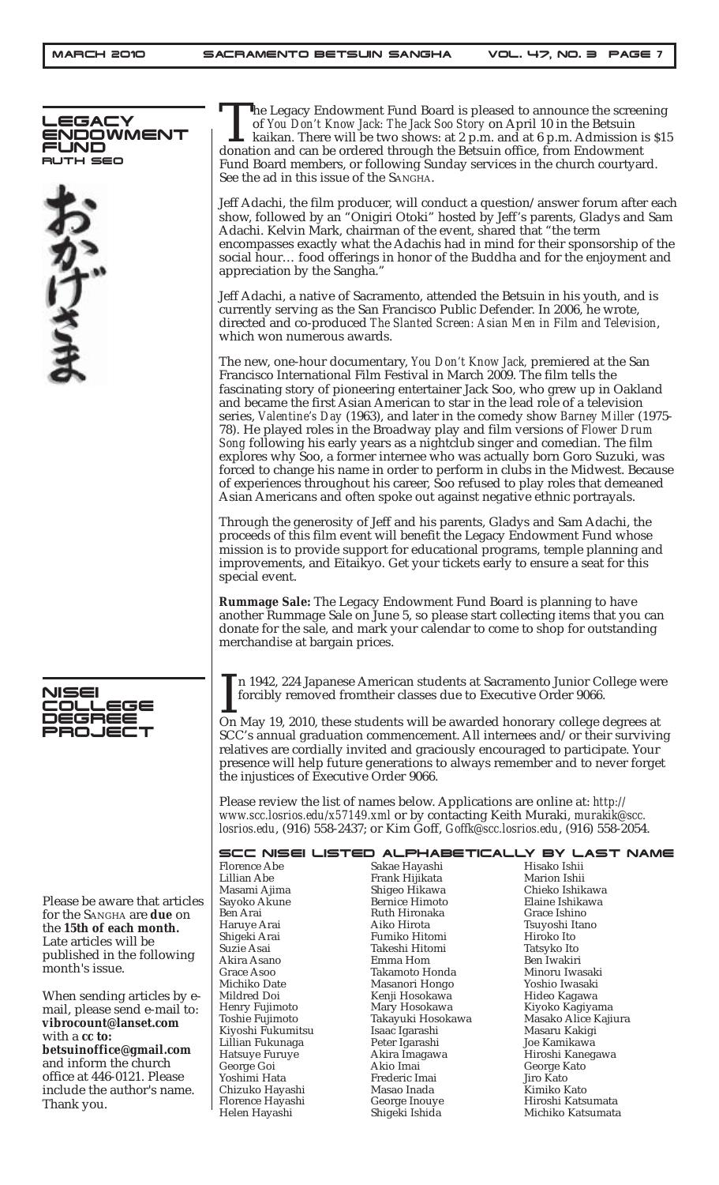



Please be aware that articles for the SANGHA are **due** on the **15th of each month.** Late articles will be published in the following month's issue.

When sending articles by email, please send e-mail to: **vibrocount@lanset.com** with a **cc to: betsuinoffice@gmail.com** and inform the church office at 446-0121. Please include the author's name. Thank you.

The Legacy Endowment Fund Board is pleased to announce the screening of You Don't Know Jack: The Jack Soo Story on April 10 in the Betsuin kaikan. There will be two shows: at 2 p.m. and at 6 p.m. Admission is \$1 donation a of *You Don't Know Jack: The Jack Soo Story* on April 10 in the Betsuin kaikan. There will be two shows: at 2 p.m. and at 6 p.m. Admission is \$15 donation and can be ordered through the Betsuin office, from Endowment Fund Board members, or following Sunday services in the church courtyard. See the ad in this issue of the SANGHA.

Jeff Adachi, the film producer, will conduct a question/answer forum after each show, followed by an "Onigiri Otoki" hosted by Jeff's parents, Gladys and Sam Adachi. Kelvin Mark, chairman of the event, shared that "the term encompasses exactly what the Adachis had in mind for their sponsorship of the social hour… food offerings in honor of the Buddha and for the enjoyment and appreciation by the Sangha."

Jeff Adachi, a native of Sacramento, attended the Betsuin in his youth, and is currently serving as the San Francisco Public Defender. In 2006, he wrote, directed and co-produced *The Slanted Screen: Asian Men in Film and Television*, which won numerous awards.

The new, one-hour documentary, *You Don't Know Jack,* premiered at the San Francisco International Film Festival in March 2009. The film tells the fascinating story of pioneering entertainer Jack Soo, who grew up in Oakland and became the first Asian American to star in the lead role of a television series, *Valentine's Day* (1963), and later in the comedy show *Barney Miller* (1975- 78). He played roles in the Broadway play and film versions of *Flower Drum Song* following his early years as a nightclub singer and comedian. The film explores why Soo, a former internee who was actually born Goro Suzuki, was forced to change his name in order to perform in clubs in the Midwest. Because of experiences throughout his career, Soo refused to play roles that demeaned Asian Americans and often spoke out against negative ethnic portrayals.

Through the generosity of Jeff and his parents, Gladys and Sam Adachi, the proceeds of this film event will benefit the Legacy Endowment Fund whose mission is to provide support for educational programs, temple planning and improvements, and Eitaikyo. Get your tickets early to ensure a seat for this special event.

**Rummage Sale:** The Legacy Endowment Fund Board is planning to have another Rummage Sale on June 5, so please start collecting items that you can donate for the sale, and mark your calendar to come to shop for outstanding merchandise at bargain prices.

In 1942, 224 Japanese American students at Sacramento Junior College wer forcibly removed from their classes due to Executive Order 9066.<br>On May 19, 2010, these students will be awarded honorary college degrees at n 1942, 224 Japanese American students at Sacramento Junior College were forcibly removed fromtheir classes due to Executive Order 9066.

SCC's annual graduation commencement. All internees and/or their surviving relatives are cordially invited and graciously encouraged to participate. Your presence will help future generations to always remember and to never forget the injustices of Executive Order 9066.

Please review the list of names below. Applications are online at: *http:// www.scc.losrios.edu/x57149.xml* or by contacting Keith Muraki, *murakik@scc. losrios.edu*, (916) 558-2437; or Kim Goff, *Goffk@scc.losrios.edu*, (916) 558-2054.

|                   |                       | SCC NISEI LISTED ALPHABETICALLY BY LAST NAME |
|-------------------|-----------------------|----------------------------------------------|
| Florence Abe      | Sakae Hayashi         | Hisako Ishii                                 |
| Lillian Abe       | Frank Hijikata        | Marion Ishii                                 |
| Masami Ajima      | Shigeo Hikawa         | Chieko Ishikawa                              |
| Sayoko Akune      | <b>Bernice Himoto</b> | Elaine Ishikawa                              |
| Ben Arai          | Ruth Hironaka         | Grace Ishino                                 |
| Haruye Arai       | Aiko Hirota           | Tsuyoshi Itano                               |
| Shigeki Arai      | Fumiko Hitomi         | Hiroko Ito                                   |
| Suzie Asai        | Takeshi Hitomi        | Tatsyko Ito                                  |
| Akira Asano       | Emma Hom              | Ben Iwakiri                                  |
| Grace Asoo        | Takamoto Honda        | Minoru Iwasaki                               |
| Michiko Date      | Masanori Hongo        | Yoshio Iwasaki                               |
| Mildred Doi       | Kenji Hosokawa        | Hideo Kagawa                                 |
| Henry Fujimoto    | Mary Hosokawa         | Kiyoko Kagiyama                              |
| Toshie Fujimoto   | Takayuki Hosokawa     | Masako Alice Kajiura                         |
| Kiyoshi Fukumitsu | Isaac Igarashi        | Masaru Kakigi                                |
| Lillian Fukunaga  | Peter Igarashi        | Joe Kamikawa                                 |
| Hatsuye Furuye    | Akira Imagawa         | Hiroshi Kanegawa                             |
| George Goi        | Akio Imai             | George Kato                                  |
| Yoshimi Hata      | Frederic Imai         | Jiro Kato                                    |
| Chizuko Hayashi   | Masao Inada           | Kimiko Kato                                  |
| Florence Hayashi  | George Inouye         | Hiroshi Katsumata                            |
| Helen Hayashi     | Shigeki Ishida        | Michiko Katsumata                            |
|                   |                       |                                              |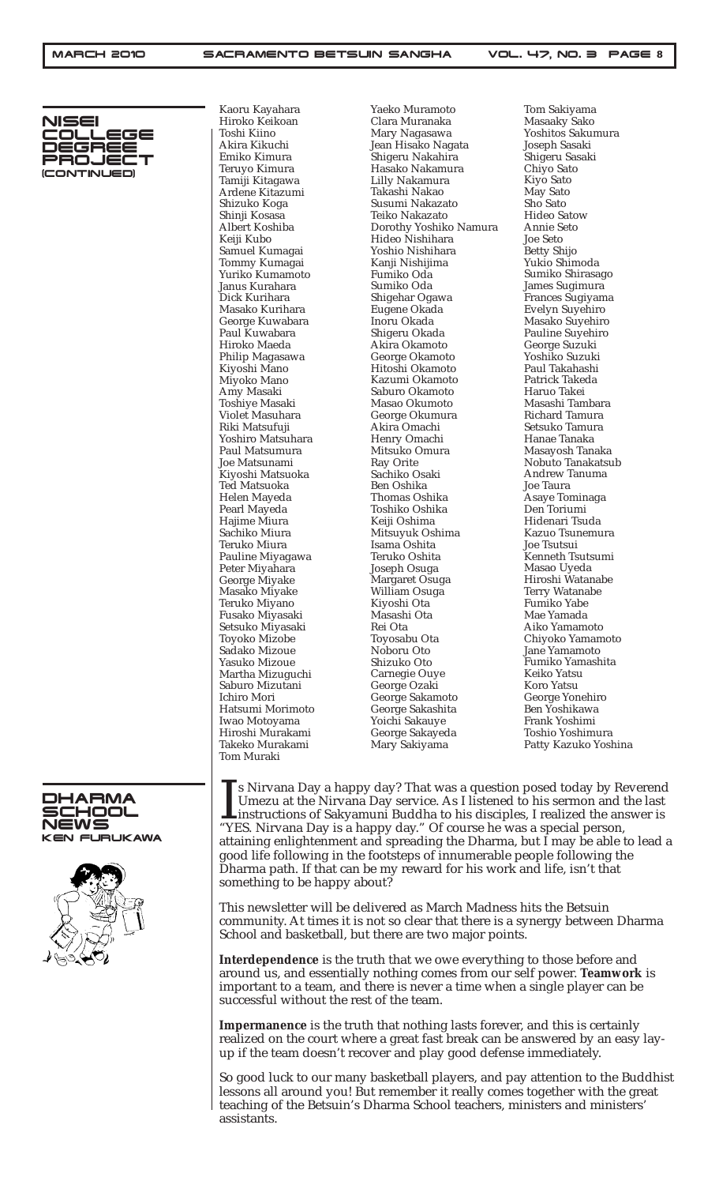

Kaoru Kayahara Hiroko Keikoan Toshi Kiino Akira Kikuchi Emiko Kimura Teruyo Kimura Tamiji Kitagawa Ardene Kitazumi Shizuko Koga Shinji Kosasa Albert Koshiba Keiji Kubo Samuel Kumagai Tommy Kumagai Yuriko Kumamoto Janus Kurahara Dick Kurihara Masako Kurihara George Kuwabara Paul Kuwabara Hiroko Maeda Philip Magasawa Kiyoshi Mano Miyoko Mano Amy Masaki Toshiye Masaki Violet Masuhara Riki Matsufuji Yoshiro Matsuhara Paul Matsumura Joe Matsunami Kiyoshi Matsuoka Ted Matsuoka Helen Mayeda Pearl Mayeda Hajime Miura Sachiko Miura Teruko Miura Pauline Miyagawa Peter Miyahara George Miyake Masako Miyake Teruko Miyano Fusako Miyasaki Setsuko Miyasaki Toyoko Mizobe Sadako Mizoue Yasuko Mizoue Martha Mizuguchi Saburo Mizutani Ichiro Mori Hatsumi Morimoto Iwao Motoyama Hiroshi Murakami Takeko Murakami Tom Muraki

Yaeko Muramoto Clara Muranaka Mary Nagasawa Jean Hisako Nagata Shigeru Nakahira Hasako Nakamura Lilly Nakamura Takashi Nakao Susumi Nakazato Teiko Nakazato Dorothy Yoshiko Namura Hideo Nishihara Yoshio Nishihara Kanji Nishijima Fumiko Oda Sumiko Oda Shigehar Ogawa Eugene Okada Inoru Okada Shigeru Okada Akira Okamoto George Okamoto Hitoshi Okamoto Kazumi Okamoto Saburo Okamoto Masao Okumoto George Okumura Akira Omachi Henry Omachi Mitsuko Omura Ray Orite Sachiko Osaki Ben Oshika Thomas Oshika Toshiko Oshika Keiji Oshima Mitsuyuk Oshima Isama Oshita Teruko Oshita Joseph Osuga Margaret Osuga William Osuga Kiyoshi Ota Masashi Ota Rei Ota Toyosabu Ota Noboru Oto Shizuko Oto Carnegie Ouye George Ozaki George Sakamoto George Sakashita Yoichi Sakauye George Sakayeda Mary Sakiyama

Tom Sakiyama Masaaky Sako Yoshitos Sakumura Joseph Sasaki Shigeru Sasaki Chiyo Sato Kiyo Sato May Sato Sho Sato Hideo Satow Annie Seto Joe Seto Betty Shijo Yukio Shimoda Sumiko Shirasago James Sugimura Frances Sugiyama Evelyn Suyehiro Masako Suyehiro Pauline Suyehiro George Suzuki Yoshiko Suzuki Paul Takahashi Patrick Takeda Haruo Takei Masashi Tambara Richard Tamura Setsuko Tamura Hanae Tanaka Masayosh Tanaka Nobuto Tanakatsub Andrew Tanuma Joe Taura Asaye Tominaga Den Toriumi Hidenari Tsuda Kazuo Tsunemura Joe Tsutsui Kenneth Tsutsumi Masao Uyeda Hiroshi Watanabe Terry Watanabe Fumiko Yabe Mae Yamada Aiko Yamamoto Chiyoko Yamamoto Jane Yamamoto Fumiko Yamashita Keiko Yatsu Koro Yatsu George Yonehiro Ben Yoshikawa Frank Yoshimi Toshio Yoshimura Patty Kazuko Yoshina

 $\prod_{\text{``YI}}$ s Nirvana Day a happy day? That was a question posed today by Reverend Umezu at the Nirvana Day service. As I listened to his sermon and the last instructions of Sakyamuni Buddha to his disciples, I realized the answer is "YES. Nirvana Day is a happy day." Of course he was a special person, attaining enlightenment and spreading the Dharma, but I may be able to lead a good life following in the footsteps of innumerable people following the Dharma path. If that can be my reward for his work and life, isn't that something to be happy about?

This newsletter will be delivered as March Madness hits the Betsuin community. At times it is not so clear that there is a synergy between Dharma School and basketball, but there are two major points.

**Interdependence** is the truth that we owe everything to those before and around us, and essentially nothing comes from our self power. **Teamwork** is important to a team, and there is never a time when a single player can be successful without the rest of the team.

**Impermanence** is the truth that nothing lasts forever, and this is certainly realized on the court where a great fast break can be answered by an easy layup if the team doesn't recover and play good defense immediately.

So good luck to our many basketball players, and pay attention to the Buddhist lessons all around you! But remember it really comes together with the great teaching of the Betsuin's Dharma School teachers, ministers and ministers' assistants.



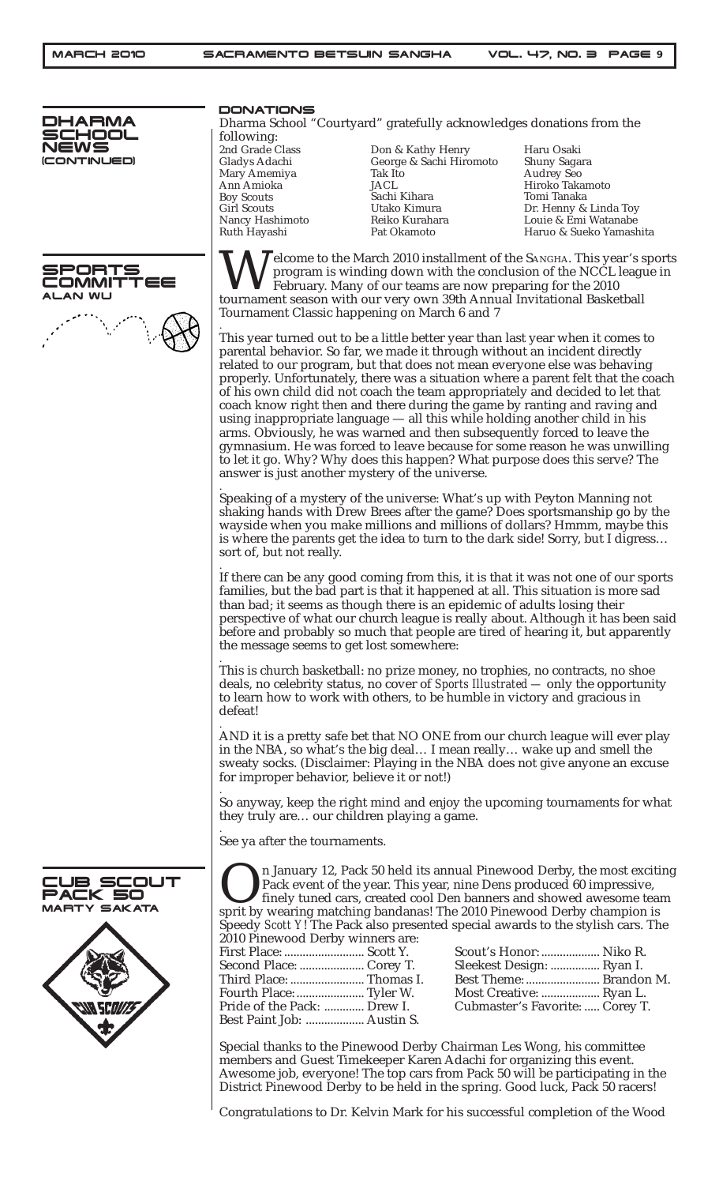

#### PORTS<br>DMMITTEE TIMMO: **AN WU**



DONATIONS

Dharma School "Courtyard" gratefully acknowledges donations from the following:

| 2nd Grade Class    |
|--------------------|
| Gladys Adachi      |
| Mary Amemiya       |
| Ann Amioka         |
| <b>Boy Scouts</b>  |
| <b>Girl Scouts</b> |
| Nancy Hashimoto    |
| Ruth Hayashi       |
|                    |

Don & Kathy Henry George & Sachi Hiromoto Tak Ito JACL Sachi Kihara Utako Kimura Reiko Kurahara Pat Okamoto

Haru Osaki Shuny Sagara Audrey Seo Hiroko Takamoto Tomi Tanaka Dr. Henny & Linda Toy Louie & Emi Watanabe Haruo & Sueko Yamashita

Welcome to the March 2010 installment of the SANGHA. This year's sports<br>program is winding down with the conclusion of the NCCL league in<br>tournament season with our very own 39th Annual Invitational Basketball program is winding down with the conclusion of the NCCL league in February. Many of our teams are now preparing for the 2010 tournament season with our very own 39th Annual Invitational Basketball Tournament Classic happening on March 6 and 7 .

This year turned out to be a little better year than last year when it comes to parental behavior. So far, we made it through without an incident directly related to our program, but that does not mean everyone else was behaving properly. Unfortunately, there was a situation where a parent felt that the coach of his own child did not coach the team appropriately and decided to let that coach know right then and there during the game by ranting and raving and using inappropriate language — all this while holding another child in his arms. Obviously, he was warned and then subsequently forced to leave the gymnasium. He was forced to leave because for some reason he was unwilling to let it go. Why? Why does this happen? What purpose does this serve? The answer is just another mystery of the universe.

. Speaking of a mystery of the universe: What's up with Peyton Manning not shaking hands with Drew Brees after the game? Does sportsmanship go by the wayside when you make millions and millions of dollars? Hmmm, maybe this is where the parents get the idea to turn to the dark side! Sorry, but I digress… sort of, but not really.

. If there can be any good coming from this, it is that it was not one of our sports families, but the bad part is that it happened at all. This situation is more sad than bad; it seems as though there is an epidemic of adults losing their perspective of what our church league is really about. Although it has been said before and probably so much that people are tired of hearing it, but apparently the message seems to get lost somewhere:

. This is church basketball: no prize money, no trophies, no contracts, no shoe deals, no celebrity status, no cover of *Sports Illustrated —* only the opportunity to learn how to work with others, to be humble in victory and gracious in defeat!

. AND it is a pretty safe bet that NO ONE from our church league will ever play in the NBA, so what's the big deal… I mean really… wake up and smell the sweaty socks. (Disclaimer: Playing in the NBA does not give anyone an excuse for improper behavior, believe it or not!)

. So anyway, keep the right mind and enjoy the upcoming tournaments for what they truly are… our children playing a game.

. See ya after the tournaments.

:UB SCOUT<br>?ACK 50 **PACK 50**<br>Marty saka Y SAKATA

In January 12, Pack 50 held its annual Pinewood Derby, the most exciting Pack event of the year. This year, nine Dens produced 60 impressive, finely tuned cars, created cool Den banners and showed awesome team sprit by wea Pack event of the year. This year, nine Dens produced 60 impressive, finely tuned cars, created cool Den banners and showed awesome team Speedy *Scott Y*! The Pack also presented special awards to the stylish cars. The

2010 Pinewood Derby winners are: First Place: .......................... Scott Y. Second Place: ..................... Corey T. Third Place: ........................ Thomas I. Fourth Place: ...................... Tyler W. Pride of the Pack: ............. Drew I. Best Paint Job: ................... Austin S.

| Scout's Honor:  Niko R.         |  |
|---------------------------------|--|
| Sleekest Design:  Ryan I.       |  |
| Best Theme:  Brandon M.         |  |
| Most Creative:  Ryan L.         |  |
| Cubmaster's Favorite:  Corey T. |  |

Special thanks to the Pinewood Derby Chairman Les Wong, his committee members and Guest Timekeeper Karen Adachi for organizing this event. Awesome job, everyone! The top cars from Pack 50 will be participating in the District Pinewood Derby to be held in the spring. Good luck, Pack 50 racers!

Congratulations to Dr. Kelvin Mark for his successful completion of the Wood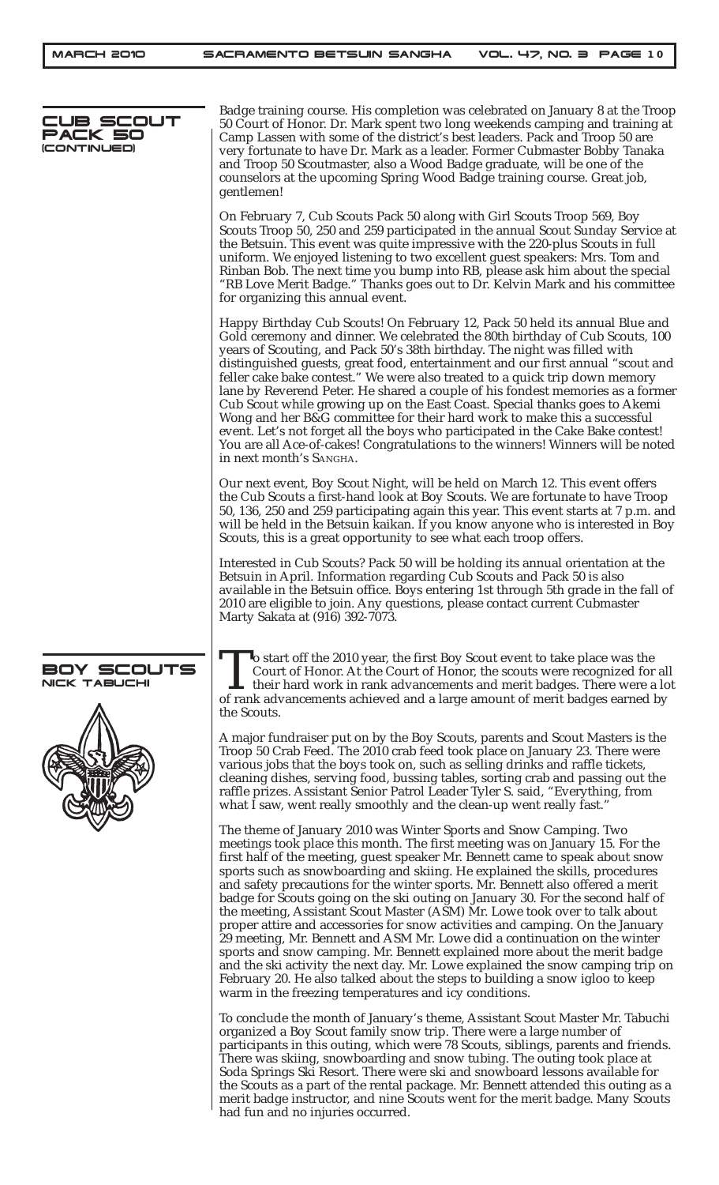| CUB SCOUT<br>PACK 50<br>(CONTINUED) | Badge training course. His completion was celebrated on January 8 at the Troop<br>50 Court of Honor. Dr. Mark spent two long weekends camping and training at<br>Camp Lassen with some of the district's best leaders. Pack and Troop 50 are<br>very fortunate to have Dr. Mark as a leader. Former Cubmaster Bobby Tanaka<br>and Troop 50 Scoutmaster, also a Wood Badge graduate, will be one of the<br>counselors at the upcoming Spring Wood Badge training course. Great job,<br>gentlemen!                                                                                                                                                                                                                                                                                                                                                                                                                                                                                                                                          |
|-------------------------------------|-------------------------------------------------------------------------------------------------------------------------------------------------------------------------------------------------------------------------------------------------------------------------------------------------------------------------------------------------------------------------------------------------------------------------------------------------------------------------------------------------------------------------------------------------------------------------------------------------------------------------------------------------------------------------------------------------------------------------------------------------------------------------------------------------------------------------------------------------------------------------------------------------------------------------------------------------------------------------------------------------------------------------------------------|
|                                     | On February 7, Cub Scouts Pack 50 along with Girl Scouts Troop 569, Boy<br>Scouts Troop 50, 250 and 259 participated in the annual Scout Sunday Service at<br>the Betsuin. This event was quite impressive with the 220-plus Scouts in full<br>uniform. We enjoyed listening to two excellent guest speakers: Mrs. Tom and<br>Rinban Bob. The next time you bump into RB, please ask him about the special<br>"RB Love Merit Badge." Thanks goes out to Dr. Kelvin Mark and his committee<br>for organizing this annual event.                                                                                                                                                                                                                                                                                                                                                                                                                                                                                                            |
|                                     | Happy Birthday Cub Scouts! On February 12, Pack 50 held its annual Blue and<br>Gold ceremony and dinner. We celebrated the 80th birthday of Cub Scouts, 100<br>years of Scouting, and Pack 50's 38th birthday. The night was filled with<br>distinguished guests, great food, entertainment and our first annual "scout and<br>feller cake bake contest." We were also treated to a quick trip down memory<br>lane by Reverend Peter. He shared a couple of his fondest memories as a former<br>Cub Scout while growing up on the East Coast. Special thanks goes to Akemi<br>Wong and her B&G committee for their hard work to make this a successful<br>event. Let's not forget all the boys who participated in the Cake Bake contest!<br>You are all Ace-of-cakes! Congratulations to the winners! Winners will be noted<br>in next month's SANGHA.                                                                                                                                                                                   |
|                                     | Our next event, Boy Scout Night, will be held on March 12. This event offers<br>the Cub Scouts a first-hand look at Boy Scouts. We are fortunate to have Troop<br>50, 136, 250 and 259 participating again this year. This event starts at 7 p.m. and<br>will be held in the Betsuin kaikan. If you know anyone who is interested in Boy<br>Scouts, this is a great opportunity to see what each troop offers.                                                                                                                                                                                                                                                                                                                                                                                                                                                                                                                                                                                                                            |
|                                     | Interested in Cub Scouts? Pack 50 will be holding its annual orientation at the<br>Betsuin in April. Information regarding Cub Scouts and Pack 50 is also<br>available in the Betsuin office. Boys entering 1st through 5th grade in the fall of<br>2010 are eligible to join. Any questions, please contact current Cubmaster<br>Marty Sakata at (916) 392-7073.                                                                                                                                                                                                                                                                                                                                                                                                                                                                                                                                                                                                                                                                         |
| BOY SCOUTS<br>NICK TABUCHI          | <b>To start off the 2010 year, the first Boy Scout event to take place was the</b><br>Court of Honor. At the Court of Honor, the scouts were recognized for all<br>$\mathsf{L}\,$ their hard work in rank advancements and merit badges. There were a lot<br>of rank advancements achieved and a large amount of merit badges earned by<br>the Scouts.                                                                                                                                                                                                                                                                                                                                                                                                                                                                                                                                                                                                                                                                                    |
|                                     | A major fundraiser put on by the Boy Scouts, parents and Scout Masters is the<br>Troop 50 Crab Feed. The 2010 crab feed took place on January 23. There were<br>various jobs that the boys took on, such as selling drinks and raffle tickets,<br>cleaning dishes, serving food, bussing tables, sorting crab and passing out the<br>raffle prizes. Assistant Senior Patrol Leader Tyler S. said, "Everything, from<br>what I saw, went really smoothly and the clean-up went really fast."                                                                                                                                                                                                                                                                                                                                                                                                                                                                                                                                               |
|                                     | The theme of January 2010 was Winter Sports and Snow Camping. Two<br>meetings took place this month. The first meeting was on January 15. For the<br>first half of the meeting, guest speaker Mr. Bennett came to speak about snow<br>sports such as snowboarding and skiing. He explained the skills, procedures<br>and safety precautions for the winter sports. Mr. Bennett also offered a merit<br>badge for Scouts going on the ski outing on January 30. For the second half of<br>the meeting, Assistant Scout Master (ASM) Mr. Lowe took over to talk about<br>proper attire and accessories for snow activities and camping. On the January<br>29 meeting, Mr. Bennett and ASM Mr. Lowe did a continuation on the winter<br>sports and snow camping. Mr. Bennett explained more about the merit badge<br>and the ski activity the next day. Mr. Lowe explained the snow camping trip on<br>February 20. He also talked about the steps to building a snow igloo to keep<br>warm in the freezing temperatures and icy conditions. |
|                                     | To conclude the month of January's theme, Assistant Scout Master Mr. Tabuchi<br>organized a Boy Scout family snow trip. There were a large number of<br>participants in this outing, which were 78 Scouts, siblings, parents and friends.<br>There was skiing, snowboarding and snow tubing. The outing took place at<br>Soda Springs Ski Resort. There were ski and snowboard lessons available for                                                                                                                                                                                                                                                                                                                                                                                                                                                                                                                                                                                                                                      |

the Scouts as a part of the rental package. Mr. Bennett attended this outing as a merit badge instructor, and nine Scouts went for the merit badge. Many Scouts

had fun and no injuries occurred.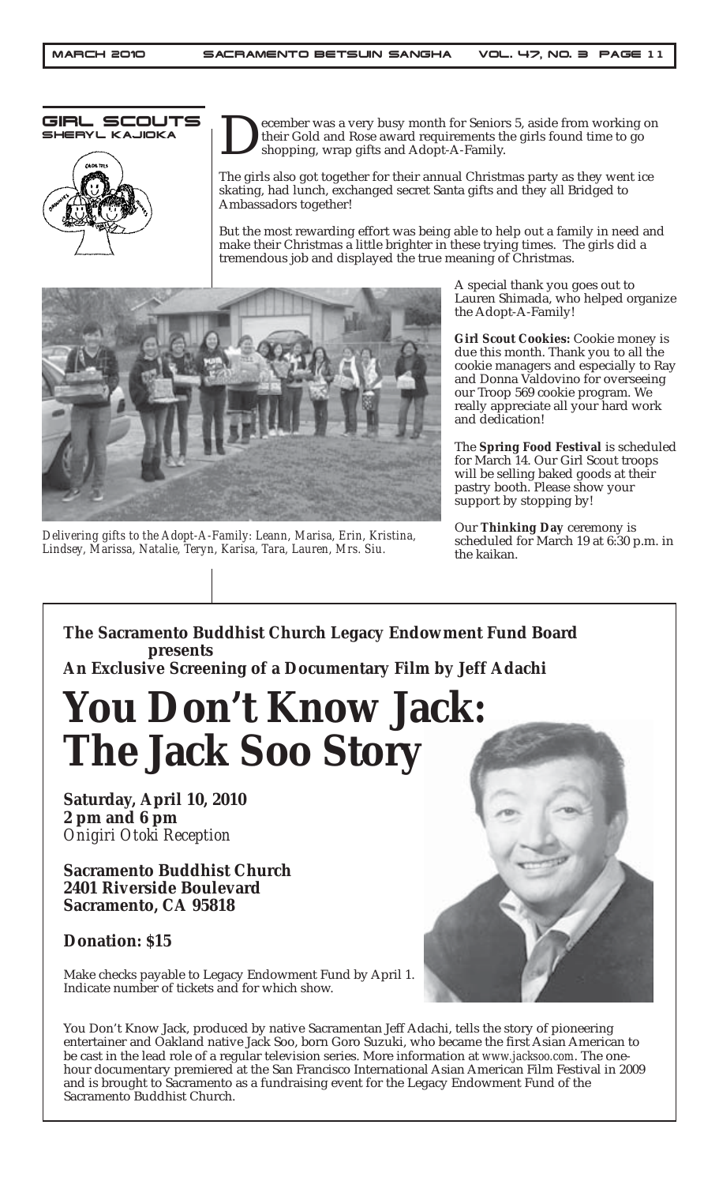GIRL SCOUTS SHERYL KAJIOKA



ecember was a very busy month for Seniors 5, aside from working on their Gold and Rose award requirements the girls found time to go shopping, wrap gifts and Adopt-A-Family.

The girls also got together for their annual Christmas party as they went ice skating, had lunch, exchanged secret Santa gifts and they all Bridged to Ambassadors together!

But the most rewarding effort was being able to help out a family in need and make their Christmas a little brighter in these trying times. The girls did a tremendous job and displayed the true meaning of Christmas.



*Delivering gifts to the Adopt-A-Family: Leann, Marisa, Erin, Kristina, Lindsey, Marissa, Natalie, Teryn, Karisa, Tara, Lauren, Mrs. Siu.*

A special thank you goes out to Lauren Shimada, who helped organize the Adopt-A-Family!

**Girl Scout Cookies:** Cookie money is due this month. Thank you to all the cookie managers and especially to Ray and Donna Valdovino for overseeing our Troop 569 cookie program. We really appreciate all your hard work and dedication!

The **Spring Food Festival** is scheduled for March 14. Our Girl Scout troops will be selling baked goods at their pastry booth. Please show your support by stopping by!

Our **Thinking Day** ceremony is scheduled for March 19 at 6:30 p.m. in the kaikan.

**The Sacramento Buddhist Church Legacy Endowment Fund Board presents An Exclusive Screening of a Documentary Film by Jeff Adachi**

# **You Don't Know Jack: The Jack Soo Story**

**Saturday, April 10, 2010 2 pm and 6 pm** *Onigiri Otoki Reception*

**Sacramento Buddhist Church 2401 Riverside Boulevard Sacramento, CA 95818**

### **Donation: \$15**

Make checks payable to Legacy Endowment Fund by April 1. Indicate number of tickets and for which show.

You Don't Know Jack, produced by native Sacramentan Jeff Adachi, tells the story of pioneering entertainer and Oakland native Jack Soo, born Goro Suzuki, who became the first Asian American to be cast in the lead role of a regular television series. More information at *www.jacksoo.com*. The onehour documentary premiered at the San Francisco International Asian American Film Festival in 2009 and is brought to Sacramento as a fundraising event for the Legacy Endowment Fund of the Sacramento Buddhist Church.

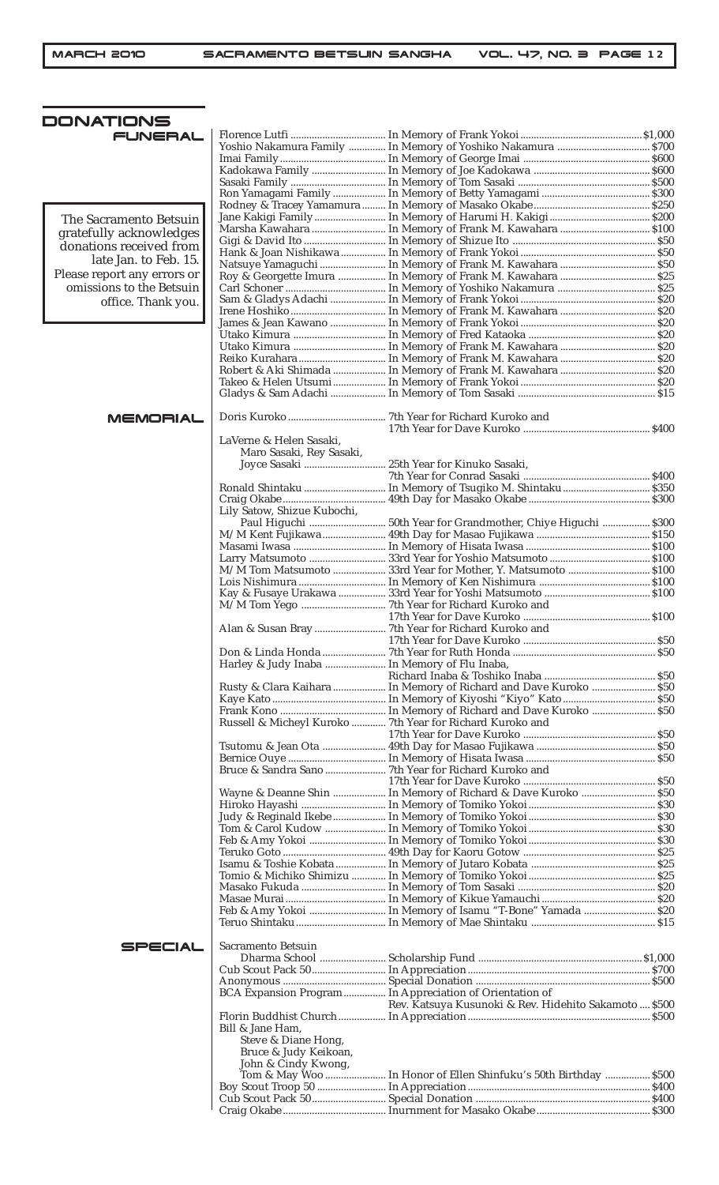| DONATIONS                   |                                                     |                                                                  |  |
|-----------------------------|-----------------------------------------------------|------------------------------------------------------------------|--|
| <b>FUNERAL</b>              |                                                     |                                                                  |  |
|                             |                                                     | Yoshio Nakamura Family  In Memory of Yoshiko Nakamura  \$700     |  |
|                             |                                                     |                                                                  |  |
|                             |                                                     |                                                                  |  |
|                             |                                                     |                                                                  |  |
|                             |                                                     |                                                                  |  |
| The Sacramento Betsuin      |                                                     |                                                                  |  |
| gratefully acknowledges     |                                                     | Marsha Kawahara  In Memory of Frank M. Kawahara  \$100           |  |
| donations received from     |                                                     |                                                                  |  |
| late Jan. to Feb. 15.       |                                                     |                                                                  |  |
| Please report any errors or |                                                     | Roy & Georgette Imura  In Memory of Frank M. Kawahara  \$25      |  |
| omissions to the Betsuin    |                                                     |                                                                  |  |
| office. Thank you.          |                                                     |                                                                  |  |
|                             |                                                     |                                                                  |  |
|                             |                                                     |                                                                  |  |
|                             |                                                     |                                                                  |  |
|                             |                                                     |                                                                  |  |
|                             |                                                     |                                                                  |  |
|                             |                                                     |                                                                  |  |
|                             |                                                     |                                                                  |  |
| <b>MEMORIAL</b>             |                                                     |                                                                  |  |
|                             |                                                     |                                                                  |  |
|                             | LaVerne & Helen Sasaki,<br>Maro Sasaki, Rey Sasaki, |                                                                  |  |
|                             |                                                     |                                                                  |  |
|                             |                                                     |                                                                  |  |
|                             |                                                     |                                                                  |  |
|                             |                                                     |                                                                  |  |
|                             | Lily Satow, Shizue Kubochi,                         |                                                                  |  |
|                             |                                                     | Paul Higuchi  50th Year for Grandmother, Chiye Higuchi  \$300    |  |
|                             |                                                     |                                                                  |  |
|                             |                                                     |                                                                  |  |
|                             |                                                     | M/M Tom Matsumoto  33rd Year for Mother, Y. Matsumoto  \$100     |  |
|                             |                                                     |                                                                  |  |
|                             |                                                     |                                                                  |  |
|                             |                                                     |                                                                  |  |
|                             |                                                     |                                                                  |  |
|                             |                                                     |                                                                  |  |
|                             |                                                     |                                                                  |  |
|                             | Harley & Judy Inaba  In Memory of Flu Inaba,        |                                                                  |  |
|                             |                                                     |                                                                  |  |
|                             |                                                     |                                                                  |  |
|                             |                                                     |                                                                  |  |
|                             |                                                     | Russell & Micheyl Kuroko  7th Year for Richard Kuroko and        |  |
|                             |                                                     |                                                                  |  |
|                             |                                                     |                                                                  |  |
|                             |                                                     |                                                                  |  |
|                             |                                                     |                                                                  |  |
|                             |                                                     | Wayne & Deanne Shin  In Memory of Richard & Dave Kuroko  \$50    |  |
|                             |                                                     |                                                                  |  |
|                             |                                                     |                                                                  |  |
|                             |                                                     |                                                                  |  |
|                             |                                                     |                                                                  |  |
|                             |                                                     |                                                                  |  |
|                             |                                                     |                                                                  |  |
|                             |                                                     |                                                                  |  |
|                             |                                                     |                                                                  |  |
|                             |                                                     |                                                                  |  |
|                             |                                                     |                                                                  |  |
| SPECIAL                     | Sacramento Betsuin                                  |                                                                  |  |
|                             |                                                     |                                                                  |  |
|                             |                                                     |                                                                  |  |
|                             |                                                     | BCA Expansion Program  In Appreciation of Orientation of         |  |
|                             |                                                     | Rev. Katsuya Kusunoki & Rev. Hidehito Sakamoto  \$500            |  |
|                             |                                                     |                                                                  |  |
|                             | Bill & Jane Ham,                                    |                                                                  |  |
|                             | Steve & Diane Hong,                                 |                                                                  |  |
|                             | Bruce & Judy Keikoan,<br>John & Cindy Kwong,        |                                                                  |  |
|                             |                                                     | Tom & May Woo  In Honor of Ellen Shinfuku's 50th Birthday  \$500 |  |
|                             |                                                     |                                                                  |  |
|                             |                                                     |                                                                  |  |
|                             |                                                     |                                                                  |  |